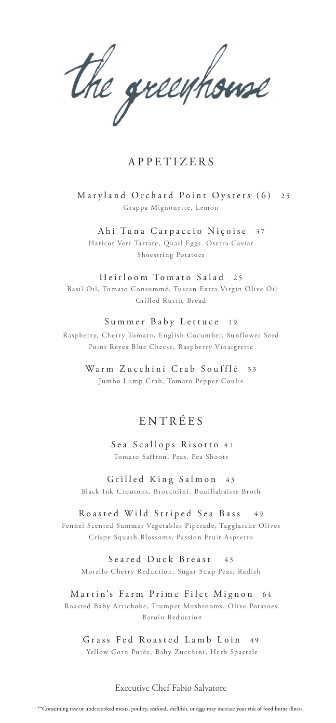the greenhouse

# APPETIZERS

Maryland Orchard Point Oysters (6) 25 Grappa Mignonette, Lemon

Ahi Tuna Carpaccio Niçoise 37 Haricot Vert Tartare, Quail Eggs. Osetra Caviar Shoestring Potatoes

#### Heirloom Tomato Salad 25

 Basil Oil, Tomato Consommé, Tuscan Extra Virgin Olive Oil Grilled Rustic Bread

#### Summer Baby Lettuce 19

Raspberry, Cherry Tomato, English Cucumber, Sunflower Seed Point Reyes Blue Cheese, Raspberry Vinaigrette

# Warm Zucchini Crab Soufflé 33

Jumbo Lump Crab, Tomato Pepper Coulis

# ENTRÉES

Sea Scallops Risotto 41 Tomato Saffron, Peas, Pea Shoots

Grilled King Salmon 43 Black Ink Croutons, Broccolini, Bouillabaisse Broth

Roasted Wild Striped Sea Bass 49 Fennel Scented Summer Vegetables Piperade, Taggiasche Olives Crispy Squash Blossoms, Passion Fruit Aspretto

Seared Duck Breast 45 Morello Cherry Reduction, Sugar Snap Peas, Radish

Martin's Farm Prime Filet Mignon 64 Roasted Baby Artichoke, Trumpet Mushrooms, Olive Potatoes Barolo Reduction

Grass Fed Roasted Lamb Loin 49 Yellow Corn Purée, Baby Zucchini, Herb Spaetzle

#### Executive Chef Fabio Salvatore